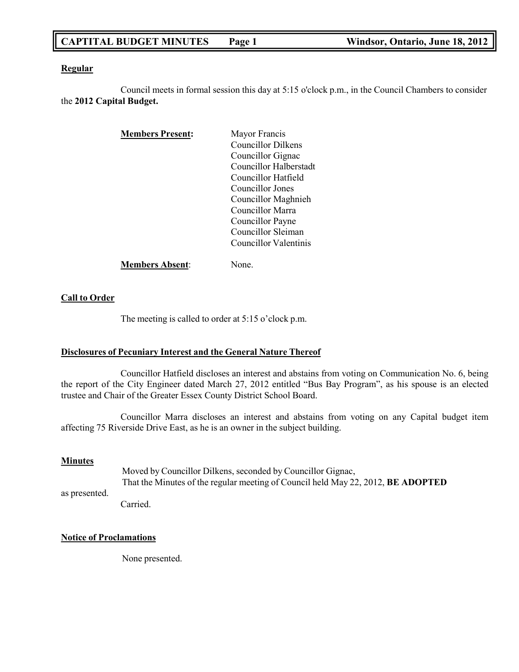# **CAPTITAL BUDGET MINUTES Page 1 Windsor, Ontario, June 18, 2012**

#### **Regular**

Council meets in formal session this day at 5:15 o'clock p.m., in the Council Chambers to consider the **2012 Capital Budget.**

| <b>Members Present:</b> | Mayor Francis          |
|-------------------------|------------------------|
|                         | Councillor Dilkens     |
|                         | Councillor Gignac      |
|                         | Councillor Halberstadt |
|                         | Councillor Hatfield    |
|                         | Councillor Jones       |
|                         | Councillor Maghnieh    |
|                         | Councillor Marra       |
|                         | Councillor Payne       |
|                         | Councillor Sleiman     |
|                         | Councillor Valentinis  |
| <b>Members Absent:</b>  | None.                  |

# **Call to Order**

The meeting is called to order at 5:15 o'clock p.m.

### **Disclosures of Pecuniary Interest and the General Nature Thereof**

Councillor Hatfield discloses an interest and abstains from voting on Communication No. 6, being the report of the City Engineer dated March 27, 2012 entitled "Bus Bay Program", as his spouse is an elected trustee and Chair of the Greater Essex County District School Board.

Councillor Marra discloses an interest and abstains from voting on any Capital budget item affecting 75 Riverside Drive East, as he is an owner in the subject building.

#### **Minutes**

as presented. Moved by Councillor Dilkens, seconded by Councillor Gignac, That the Minutes of the regular meeting of Council held May 22, 2012, **BE ADOPTED**

#### Carried.

### **Notice of Proclamations**

None presented.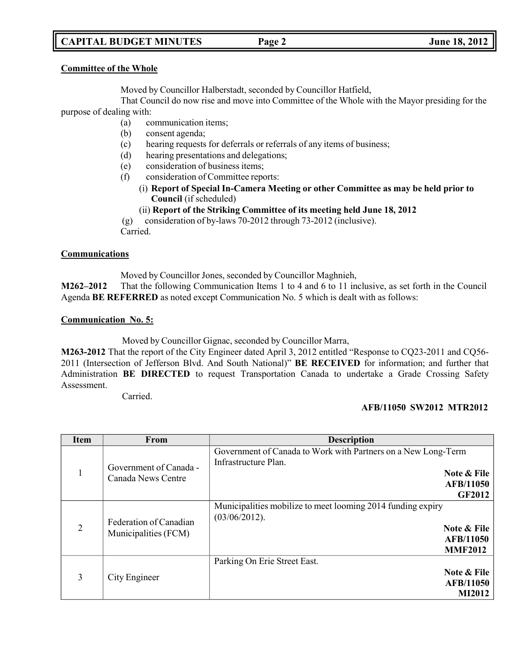# **CAPITAL BUDGET MINUTES Page 2 June 18, 2012**

#### **Committee of the Whole**

Moved by Councillor Halberstadt, seconded by Councillor Hatfield,

That Council do now rise and move into Committee of the Whole with the Mayor presiding for the purpose of dealing with:

- (a) communication items;
- (b) consent agenda;
- (c) hearing requests for deferrals or referrals of any items of business;
- (d) hearing presentations and delegations;
- (e) consideration of business items;
- (f) consideration of Committee reports:
	- (i) **Report of Special In-Camera Meeting or other Committee as may be held prior to Council** (if scheduled)
	- (ii) **Report of the Striking Committee of its meeting held June 18, 2012**

(g) consideration of by-laws 70-2012 through 73-2012 (inclusive). Carried.

### **Communications**

Moved by Councillor Jones, seconded by Councillor Maghnieh,

**M262–2012** That the following Communication Items 1 to 4 and 6 to 11 inclusive, as set forth in the Council Agenda **BE REFERRED** as noted except Communication No. 5 which is dealt with as follows:

#### **Communication No. 5:**

Moved by Councillor Gignac, seconded by Councillor Marra,

**M263-2012** That the report of the City Engineer dated April 3, 2012 entitled "Response to CQ23-2011 and CQ56- 2011 (Intersection of Jefferson Blvd. And South National)" **BE RECEIVED** for information; and further that Administration **BE DIRECTED** to request Transportation Canada to undertake a Grade Crossing Safety Assessment.

Carried.

### **AFB/11050 SW2012 MTR2012**

| <b>Item</b>    | <b>From</b>                                    | <b>Description</b>                                                                                                                        |
|----------------|------------------------------------------------|-------------------------------------------------------------------------------------------------------------------------------------------|
|                | Government of Canada -<br>Canada News Centre   | Government of Canada to Work with Partners on a New Long-Term<br>Infrastructure Plan.<br>Note & File<br><b>AFB/11050</b><br><b>GF2012</b> |
| $\overline{2}$ | Federation of Canadian<br>Municipalities (FCM) | Municipalities mobilize to meet looming 2014 funding expiry<br>(03/06/2012).<br>Note & File<br><b>AFB/11050</b><br><b>MMF2012</b>         |
| 3              | City Engineer                                  | Parking On Erie Street East.<br>Note & File<br><b>AFB/11050</b><br><b>MI2012</b>                                                          |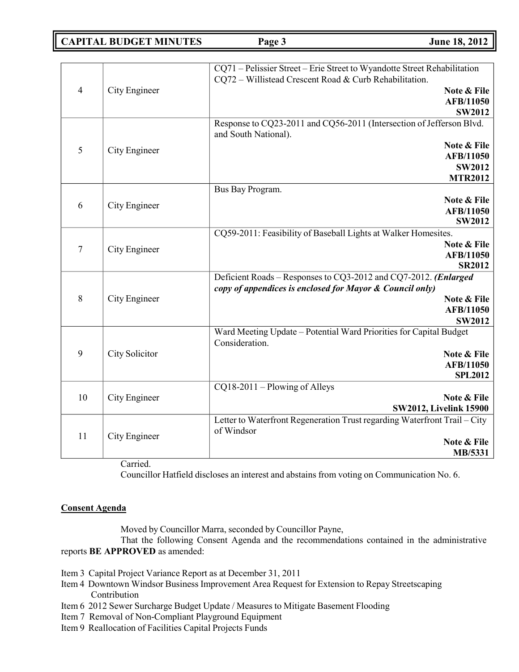**CAPITAL BUDGET MINUTES Page 3 June 18, 2012**

|                |                  | CQ71 - Pelissier Street - Erie Street to Wyandotte Street Rehabilitation  |
|----------------|------------------|---------------------------------------------------------------------------|
| $\overline{4}$ |                  | CQ72 - Willistead Crescent Road & Curb Rehabilitation.                    |
|                | City Engineer    | Note & File                                                               |
|                |                  | <b>AFB/11050</b><br><b>SW2012</b>                                         |
|                |                  | Response to CQ23-2011 and CQ56-2011 (Intersection of Jefferson Blvd.      |
|                |                  | and South National).                                                      |
| 5              | City Engineer    | Note & File                                                               |
|                |                  | AFB/11050                                                                 |
|                |                  | <b>SW2012</b>                                                             |
|                |                  | <b>MTR2012</b>                                                            |
|                |                  | Bus Bay Program.<br>Note & File                                           |
| 6              | City Engineer    | AFB/11050                                                                 |
|                |                  | <b>SW2012</b>                                                             |
|                |                  | CQ59-2011: Feasibility of Baseball Lights at Walker Homesites.            |
| $\overline{7}$ |                  | Note & File                                                               |
|                | City Engineer    | AFB/11050                                                                 |
|                |                  | <b>SR2012</b>                                                             |
|                | City Engineer    | Deficient Roads - Responses to CQ3-2012 and CQ7-2012. (Enlarged           |
| 8              |                  | copy of appendices is enclosed for Mayor & Council only)                  |
|                |                  | Note & File<br><b>AFB/11050</b>                                           |
|                |                  | <b>SW2012</b>                                                             |
|                |                  | Ward Meeting Update - Potential Ward Priorities for Capital Budget        |
|                | City Solicitor   | Consideration.                                                            |
| 9              |                  | Note & File                                                               |
|                |                  | AFB/11050                                                                 |
|                |                  | <b>SPL2012</b>                                                            |
|                | City Engineer    | $CQ18-2011 - Plowing of Alleys$                                           |
| 10             |                  | Note & File<br><b>SW2012, Livelink 15900</b>                              |
|                |                  | Letter to Waterfront Regeneration Trust regarding Waterfront Trail - City |
| 11             | City Engineer    | of Windsor                                                                |
|                |                  | Note & File                                                               |
|                |                  | MB/5331                                                                   |
|                | $\sim$ $\cdot$ 1 |                                                                           |

Carried.

Councillor Hatfield discloses an interest and abstains from voting on Communication No. 6.

### **Consent Agenda**

Moved by Councillor Marra, seconded by Councillor Payne,

That the following Consent Agenda and the recommendations contained in the administrative reports **BE APPROVED** as amended:

- Item 3 Capital Project Variance Report as at December 31, 2011
- Item 4 Downtown Windsor Business Improvement Area Request for Extension to Repay Streetscaping Contribution
- Item 6 2012 Sewer Surcharge Budget Update / Measures to Mitigate Basement Flooding
- Item 7 Removal of Non-Compliant Playground Equipment
- Item 9 Reallocation of Facilities Capital Projects Funds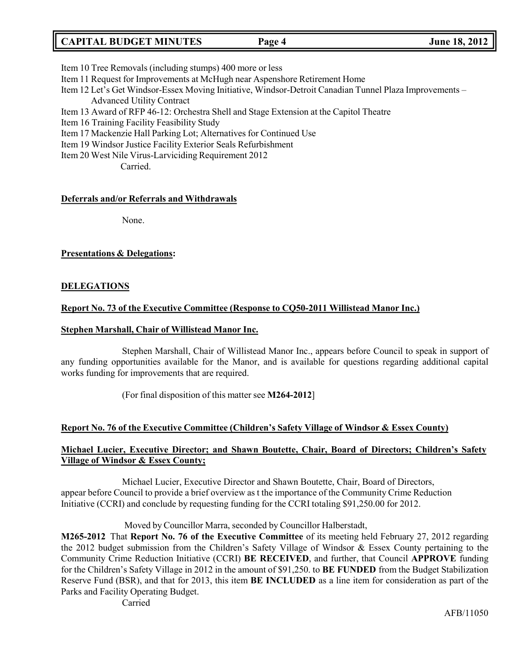# **CAPITAL BUDGET MINUTES Page 4 June 18, 2012**

- Item 10 Tree Removals (including stumps) 400 more or less
- Item 11 Request for Improvements at McHugh near Aspenshore Retirement Home
- Item 12 Let's Get Windsor-Essex Moving Initiative, Windsor-Detroit Canadian Tunnel Plaza Improvements Advanced Utility Contract
- Item 13 Award of RFP 46-12: Orchestra Shell and Stage Extension at the Capitol Theatre
- Item 16 Training Facility Feasibility Study
- Item 17 Mackenzie Hall Parking Lot; Alternatives for Continued Use
- Item 19 Windsor Justice Facility Exterior Seals Refurbishment
- Item 20 West Nile Virus-Larviciding Requirement 2012

Carried.

### **Deferrals and/or Referrals and Withdrawals**

None.

# **Presentations & Delegations:**

# **DELEGATIONS**

# **Report No. 73 of the Executive Committee (Response to CQ50-2011 Willistead Manor Inc.)**

### **Stephen Marshall, Chair of Willistead Manor Inc.**

Stephen Marshall, Chair of Willistead Manor Inc., appears before Council to speak in support of any funding opportunities available for the Manor, and is available for questions regarding additional capital works funding for improvements that are required.

(For final disposition of this matter see **M264-2012**]

# **Report No. 76 of the Executive Committee (Children's Safety Village of Windsor & Essex County)**

# **Michael Lucier, Executive Director; and Shawn Boutette, Chair, Board of Directors; Children's Safety Village of Windsor & Essex County;**

Michael Lucier, Executive Director and Shawn Boutette, Chair, Board of Directors, appear before Council to provide a brief overview as t the importance of the Community Crime Reduction Initiative (CCRI) and conclude by requesting funding for the CCRI totaling \$91,250.00 for 2012.

Moved by Councillor Marra, seconded by Councillor Halberstadt,

**M265-2012** That **Report No. 76 of the Executive Committee** of its meeting held February 27, 2012 regarding the 2012 budget submission from the Children's Safety Village of Windsor & Essex County pertaining to the Community Crime Reduction Initiative (CCRI) **BE RECEIVED**, and further, that Council **APPROVE** funding for the Children's Safety Village in 2012 in the amount of \$91,250. to **BE FUNDED** from the Budget Stabilization Reserve Fund (BSR), and that for 2013, this item **BE INCLUDED** as a line item for consideration as part of the Parks and Facility Operating Budget.

Carried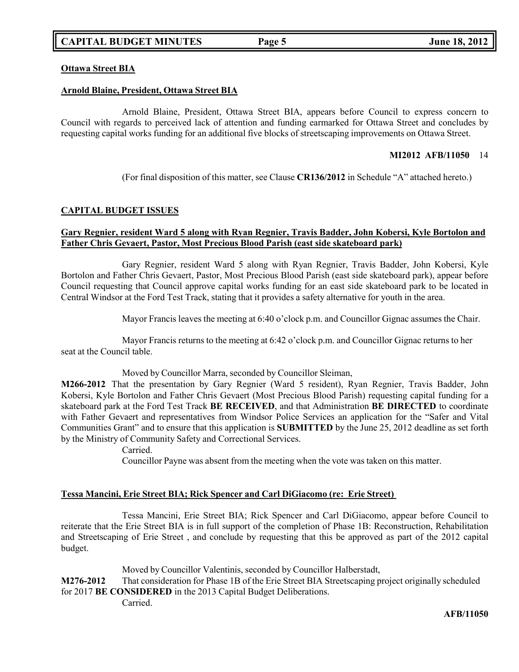### **Ottawa Street BIA**

#### **Arnold Blaine, President, Ottawa Street BIA**

Arnold Blaine, President, Ottawa Street BIA, appears before Council to express concern to Council with regards to perceived lack of attention and funding earmarked for Ottawa Street and concludes by requesting capital works funding for an additional five blocks of streetscaping improvements on Ottawa Street.

#### **MI2012 AFB/11050** 14

(For final disposition of this matter, see Clause **CR136/2012** in Schedule "A" attached hereto.)

# **CAPITAL BUDGET ISSUES**

#### **Gary Regnier, resident Ward 5 along with Ryan Regnier, Travis Badder, John Kobersi, Kyle Bortolon and Father Chris Gevaert, Pastor, Most Precious Blood Parish (east side skateboard park)**

Gary Regnier, resident Ward 5 along with Ryan Regnier, Travis Badder, John Kobersi, Kyle Bortolon and Father Chris Gevaert, Pastor, Most Precious Blood Parish (east side skateboard park), appear before Council requesting that Council approve capital works funding for an east side skateboard park to be located in Central Windsor at the Ford Test Track, stating that it provides a safety alternative for youth in the area.

Mayor Francis leaves the meeting at 6:40 o'clock p.m. and Councillor Gignac assumes the Chair.

Mayor Francis returns to the meeting at 6:42 o'clock p.m. and Councillor Gignac returns to her seat at the Council table.

Moved by Councillor Marra, seconded by Councillor Sleiman,

**M266-2012** That the presentation by Gary Regnier (Ward 5 resident), Ryan Regnier, Travis Badder, John Kobersi, Kyle Bortolon and Father Chris Gevaert (Most Precious Blood Parish) requesting capital funding for a skateboard park at the Ford Test Track **BE RECEIVED**, and that Administration **BE DIRECTED** to coordinate with Father Gevaert and representatives from Windsor Police Services an application for the "Safer and Vital Communities Grant" and to ensure that this application is **SUBMITTED** by the June 25, 2012 deadline as set forth by the Ministry of Community Safety and Correctional Services.

Carried.

Councillor Payne was absent from the meeting when the vote was taken on this matter.

#### **Tessa Mancini, Erie Street BIA; Rick Spencer and Carl DiGiacomo (re: Erie Street)**

Tessa Mancini, Erie Street BIA; Rick Spencer and Carl DiGiacomo, appear before Council to reiterate that the Erie Street BIA is in full support of the completion of Phase 1B: Reconstruction, Rehabilitation and Streetscaping of Erie Street , and conclude by requesting that this be approved as part of the 2012 capital budget.

Moved by Councillor Valentinis, seconded by Councillor Halberstadt, **M276-2012** That consideration for Phase 1B of the Erie Street BIA Streetscaping project originally scheduled for 2017 **BE CONSIDERED** in the 2013 Capital Budget Deliberations. Carried.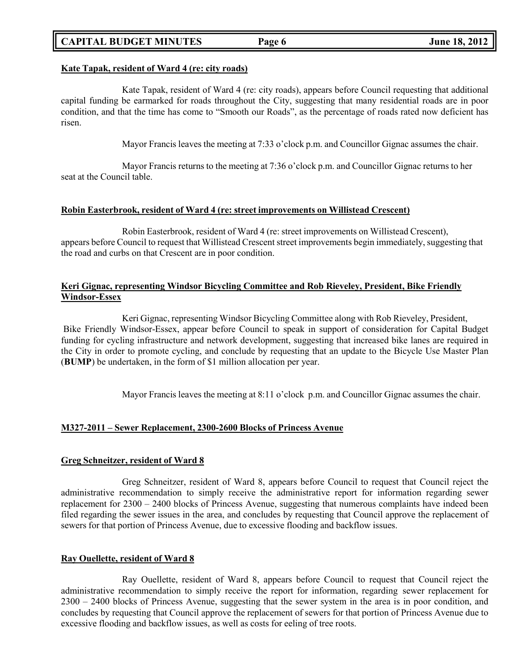# **CAPITAL BUDGET MINUTES Page 6 June 18, 2012**

#### **Kate Tapak, resident of Ward 4 (re: city roads)**

Kate Tapak, resident of Ward 4 (re: city roads), appears before Council requesting that additional capital funding be earmarked for roads throughout the City, suggesting that many residential roads are in poor condition, and that the time has come to "Smooth our Roads", as the percentage of roads rated now deficient has risen.

Mayor Francis leaves the meeting at 7:33 o'clock p.m. and Councillor Gignac assumes the chair.

Mayor Francis returns to the meeting at 7:36 o'clock p.m. and Councillor Gignac returns to her seat at the Council table.

#### **Robin Easterbrook, resident of Ward 4 (re: street improvements on Willistead Crescent)**

Robin Easterbrook, resident of Ward 4 (re: street improvements on Willistead Crescent), appears before Council to request that Willistead Crescent street improvements begin immediately, suggesting that the road and curbs on that Crescent are in poor condition.

# **Keri Gignac, representing Windsor Bicycling Committee and Rob Rieveley, President, Bike Friendly Windsor-Essex**

Keri Gignac, representing Windsor Bicycling Committee along with Rob Rieveley, President, Bike Friendly Windsor-Essex, appear before Council to speak in support of consideration for Capital Budget funding for cycling infrastructure and network development, suggesting that increased bike lanes are required in the City in order to promote cycling, and conclude by requesting that an update to the Bicycle Use Master Plan (**BUMP**) be undertaken, in the form of \$1 million allocation per year.

Mayor Francis leaves the meeting at 8:11 o'clock p.m. and Councillor Gignac assumes the chair.

### **M327-2011 – Sewer Replacement, 2300-2600 Blocks of Princess Avenue**

#### **Greg Schneitzer, resident of Ward 8**

Greg Schneitzer, resident of Ward 8, appears before Council to request that Council reject the administrative recommendation to simply receive the administrative report for information regarding sewer replacement for 2300 – 2400 blocks of Princess Avenue, suggesting that numerous complaints have indeed been filed regarding the sewer issues in the area, and concludes by requesting that Council approve the replacement of sewers for that portion of Princess Avenue, due to excessive flooding and backflow issues.

#### **Ray Ouellette, resident of Ward 8**

Ray Ouellette, resident of Ward 8, appears before Council to request that Council reject the administrative recommendation to simply receive the report for information, regarding sewer replacement for 2300 – 2400 blocks of Princess Avenue, suggesting that the sewer system in the area is in poor condition, and concludes by requesting that Council approve the replacement of sewers for that portion of Princess Avenue due to excessive flooding and backflow issues, as well as costs for eeling of tree roots.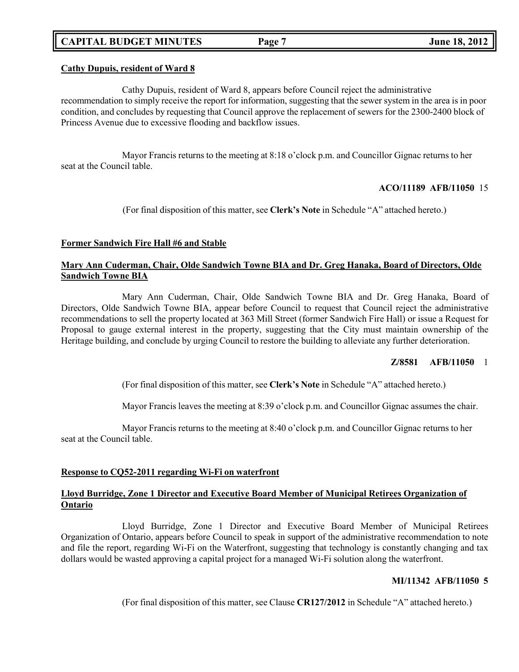# **CAPITAL BUDGET MINUTES Page 7 June 18, 2012**

### **Cathy Dupuis, resident of Ward 8**

Cathy Dupuis, resident of Ward 8, appears before Council reject the administrative recommendation to simply receive the report for information, suggesting that the sewer system in the area is in poor condition, and concludes by requesting that Council approve the replacement of sewers for the 2300-2400 block of Princess Avenue due to excessive flooding and backflow issues.

Mayor Francis returns to the meeting at 8:18 o'clock p.m. and Councillor Gignac returns to her seat at the Council table.

#### **ACO/11189 AFB/11050** 15

(For final disposition of this matter, see **Clerk's Note** in Schedule "A" attached hereto.)

#### **Former Sandwich Fire Hall #6 and Stable**

### **Mary Ann Cuderman, Chair, Olde Sandwich Towne BIA and Dr. Greg Hanaka, Board of Directors, Olde Sandwich Towne BIA**

Mary Ann Cuderman, Chair, Olde Sandwich Towne BIA and Dr. Greg Hanaka, Board of Directors, Olde Sandwich Towne BIA, appear before Council to request that Council reject the administrative recommendations to sell the property located at 363 Mill Street (former Sandwich Fire Hall) or issue a Request for Proposal to gauge external interest in the property, suggesting that the City must maintain ownership of the Heritage building, and conclude by urging Council to restore the building to alleviate any further deterioration.

### **Z/8581 AFB/11050** 1

(For final disposition of this matter, see **Clerk's Note** in Schedule "A" attached hereto.)

Mayor Francis leaves the meeting at 8:39 o'clock p.m. and Councillor Gignac assumes the chair.

Mayor Francis returns to the meeting at 8:40 o'clock p.m. and Councillor Gignac returns to her seat at the Council table.

#### **Response to CQ52-2011 regarding Wi-Fi on waterfront**

# **Lloyd Burridge, Zone 1 Director and Executive Board Member of Municipal Retirees Organization of Ontario**

Lloyd Burridge, Zone 1 Director and Executive Board Member of Municipal Retirees Organization of Ontario, appears before Council to speak in support of the administrative recommendation to note and file the report, regarding Wi-Fi on the Waterfront, suggesting that technology is constantly changing and tax dollars would be wasted approving a capital project for a managed Wi-Fi solution along the waterfront.

### **MI/11342 AFB/11050 5**

(For final disposition of this matter, see Clause **CR127/2012** in Schedule "A" attached hereto.)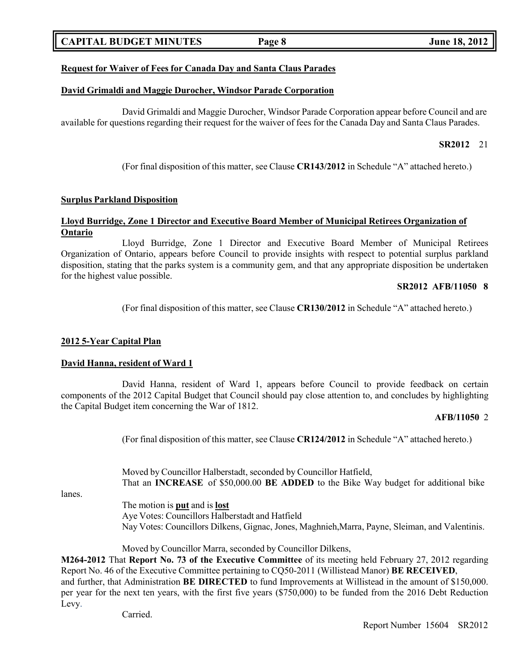# **CAPITAL BUDGET MINUTES Page 8 June 18, 2012**

### **Request for Waiver of Fees for Canada Day and Santa Claus Parades**

#### **David Grimaldi and Maggie Durocher, Windsor Parade Corporation**

David Grimaldi and Maggie Durocher, Windsor Parade Corporation appear before Council and are available for questions regarding their request for the waiver of fees for the Canada Day and Santa Claus Parades.

# **SR2012** 21

(For final disposition of this matter, see Clause **CR143/2012** in Schedule "A" attached hereto.)

#### **Surplus Parkland Disposition**

#### **Lloyd Burridge, Zone 1 Director and Executive Board Member of Municipal Retirees Organization of Ontario**

Lloyd Burridge, Zone 1 Director and Executive Board Member of Municipal Retirees Organization of Ontario, appears before Council to provide insights with respect to potential surplus parkland disposition, stating that the parks system is a community gem, and that any appropriate disposition be undertaken for the highest value possible.

#### **SR2012 AFB/11050 8**

(For final disposition of this matter, see Clause **CR130/2012** in Schedule "A" attached hereto.)

#### **2012 5-Year Capital Plan**

#### **David Hanna, resident of Ward 1**

David Hanna, resident of Ward 1, appears before Council to provide feedback on certain components of the 2012 Capital Budget that Council should pay close attention to, and concludes by highlighting the Capital Budget item concerning the War of 1812.

#### **AFB/11050** 2

(For final disposition of this matter, see Clause **CR124/2012** in Schedule "A" attached hereto.)

Moved by Councillor Halberstadt, seconded by Councillor Hatfield, That an **INCREASE** of \$50,000.00 **BE ADDED** to the Bike Way budget for additional bike

lanes.

The motion is **put** and is **lost** Aye Votes: Councillors Halberstadt and Hatfield Nay Votes: Councillors Dilkens, Gignac, Jones, Maghnieh,Marra, Payne, Sleiman, and Valentinis.

Moved by Councillor Marra, seconded by Councillor Dilkens,

**M264-2012** That **Report No. 73 of the Executive Committee** of its meeting held February 27, 2012 regarding Report No. 46 of the Executive Committee pertaining to CQ50-2011 (Willistead Manor) **BE RECEIVED**, and further, that Administration **BE DIRECTED** to fund Improvements at Willistead in the amount of \$150,000. per year for the next ten years, with the first five years (\$750,000) to be funded from the 2016 Debt Reduction Levy.

Carried.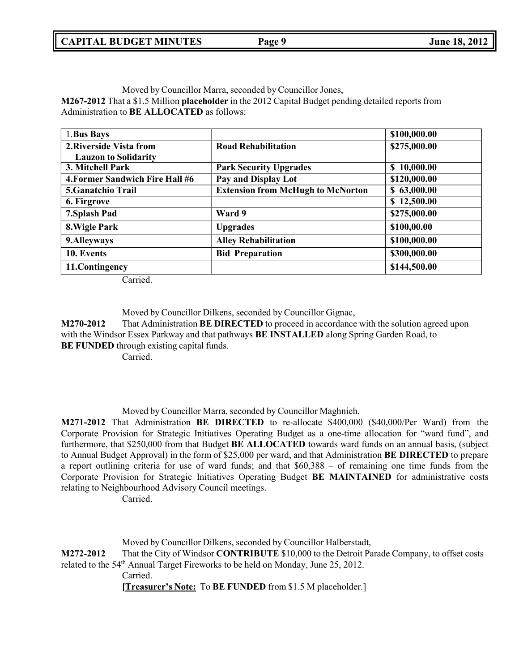Moved by Councillor Marra, seconded by Councillor Jones,

**M267-2012** That a \$1.5 Million **placeholder** in the 2012 Capital Budget pending detailed reports from Administration to **BE ALLOCATED** as follows:

| 1. Bus Bays                     |                                          | \$100,000.00 |
|---------------------------------|------------------------------------------|--------------|
| 2. Riverside Vista from         | <b>Road Rehabilitation</b>               | \$275,000.00 |
| <b>Lauzon to Solidarity</b>     |                                          |              |
| 3. Mitchell Park                | <b>Park Security Upgrades</b>            | \$10,000.00  |
| 4. Former Sandwich Fire Hall #6 | Pay and Display Lot                      | \$120,000.00 |
| 5. Ganatchio Trail              | <b>Extension from McHugh to McNorton</b> | \$63,000.00  |
| 6. Firgrove                     |                                          | \$12,500.00  |
| 7. Splash Pad                   | Ward 9                                   | \$275,000.00 |
| 8. Wigle Park                   | <b>Upgrades</b>                          | \$100,00.00  |
| 9. Alleyways                    | <b>Alley Rehabilitation</b>              | \$100,000.00 |
| 10. Events                      | <b>Bid Preparation</b>                   | \$300,000.00 |
| 11. Contingency                 |                                          | \$144,500.00 |

Carried.

Moved by Councillor Dilkens, seconded by Councillor Gignac,

**M270-2012** That Administration **BE DIRECTED** to proceed in accordance with the solution agreed upon with the Windsor Essex Parkway and that pathways **BE INSTALLED** along Spring Garden Road, to **BE FUNDED** through existing capital funds.

Carried.

Moved by Councillor Marra, seconded by Councillor Maghnieh,

**M271-2012** That Administration **BE DIRECTED** to re-allocate \$400,000 (\$40,000/Per Ward) from the Corporate Provision for Strategic Initiatives Operating Budget as a one-time allocation for "ward fund", and furthermore, that \$250,000 from that Budget **BE ALLOCATED** towards ward funds on an annual basis, (subject to Annual Budget Approval) in the form of \$25,000 per ward, and that Administration **BE DIRECTED** to prepare a report outlining criteria for use of ward funds; and that \$60,388 – of remaining one time funds from the Corporate Provision for Strategic Initiatives Operating Budget **BE MAINTAINED** for administrative costs relating to Neighbourhood Advisory Council meetings.

Carried.

Moved by Councillor Dilkens, seconded by Councillor Halberstadt,

**M272-2012** That the City of Windsor **CONTRIBUTE** \$10,000 to the Detroit Parade Company, to offset costs related to the 54<sup>th</sup> Annual Target Fireworks to be held on Monday, June 25, 2012.

Carried.

**[Treasurer's Note:** To **BE FUNDED** from \$1.5 M placeholder.]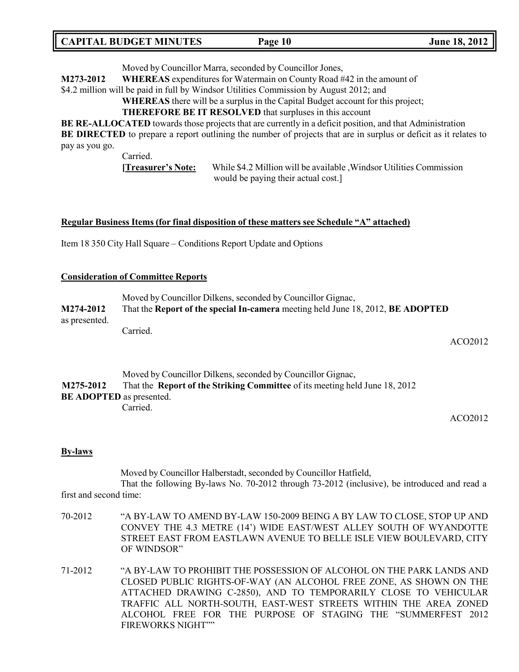| <b>CAPITAL BUDGET MINUTES</b> | Page 10 | <b>June 18, 2012</b> |
|-------------------------------|---------|----------------------|
|-------------------------------|---------|----------------------|

Moved by Councillor Marra, seconded by Councillor Jones,

**M273-2012 WHEREAS** expenditures for Watermain on County Road #42 in the amount of

\$4.2 million will be paid in full by Windsor Utilities Commission by August 2012; and

**WHEREAS** there will be a surplus in the Capital Budget account for this project;

**THEREFORE BE IT RESOLVED** that surpluses in this account

**BE RE-ALLOCATED** towards those projects that are currently in a deficit position, and that Administration **BE DIRECTED** to prepare a report outlining the number of projects that are in surplus or deficit as it relates to

pay as you go.

Carried.

**[Treasurer's Note:** While \$4.2 Million will be available ,Windsor Utilities Commission would be paying their actual cost.]

#### **Regular Business Items (for final disposition of these matters see Schedule "A" attached)**

Item 18 350 City Hall Square – Conditions Report Update and Options

#### **Consideration of Committee Reports**

|                                                                                              | Moved by Councillor Dilkens, seconded by Councillor Gignac, |  |
|----------------------------------------------------------------------------------------------|-------------------------------------------------------------|--|
| That the Report of the special In-camera meeting held June 18, 2012, BE ADOPTED<br>M274-2012 |                                                             |  |
| as presented.                                                                                |                                                             |  |
|                                                                                              | Carried.                                                    |  |

ACO2012

Moved by Councillor Dilkens, seconded by Councillor Gignac, **M275-2012** That the **Report of the Striking Committee** of its meeting held June 18, 2012 **BE ADOPTED** as presented. Carried.

ACO2012

#### **By-laws**

Moved by Councillor Halberstadt, seconded by Councillor Hatfield,

That the following By-laws No. 70-2012 through 73-2012 (inclusive), be introduced and read a first and second time:

- 70-2012 "A BY-LAW TO AMEND BY-LAW 150-2009 BEING A BY LAW TO CLOSE, STOP UP AND CONVEY THE 4.3 METRE (14') WIDE EAST/WEST ALLEY SOUTH OF WYANDOTTE STREET EAST FROM EASTLAWN AVENUE TO BELLE ISLE VIEW BOULEVARD, CITY OF WINDSOR"
- 71-2012 "A BY-LAW TO PROHIBIT THE POSSESSION OF ALCOHOL ON THE PARK LANDS AND CLOSED PUBLIC RIGHTS-OF-WAY (AN ALCOHOL FREE ZONE, AS SHOWN ON THE ATTACHED DRAWING C-2850), AND TO TEMPORARILY CLOSE TO VEHICULAR TRAFFIC ALL NORTH-SOUTH, EAST-WEST STREETS WITHIN THE AREA ZONED ALCOHOL FREE FOR THE PURPOSE OF STAGING THE "SUMMERFEST 2012 FIREWORKS NIGHT""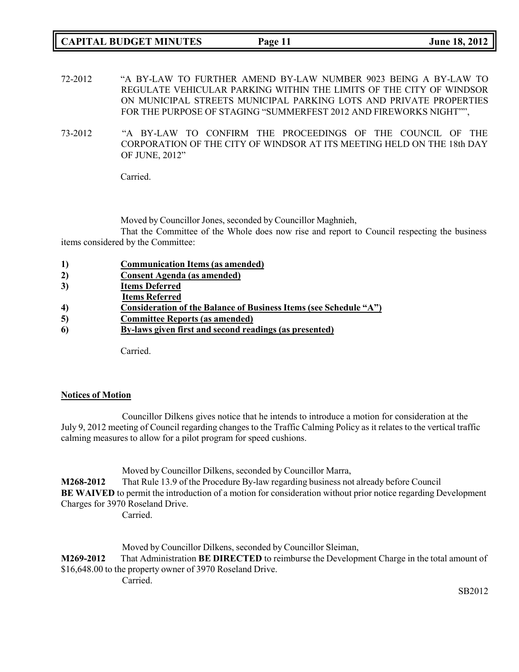- 72-2012 "A BY-LAW TO FURTHER AMEND BY-LAW NUMBER 9023 BEING A BY-LAW TO REGULATE VEHICULAR PARKING WITHIN THE LIMITS OF THE CITY OF WINDSOR ON MUNICIPAL STREETS MUNICIPAL PARKING LOTS AND PRIVATE PROPERTIES FOR THE PURPOSE OF STAGING "SUMMERFEST 2012 AND FIREWORKS NIGHT"",
- 73-2012 "A BY-LAW TO CONFIRM THE PROCEEDINGS OF THE COUNCIL OF THE CORPORATION OF THE CITY OF WINDSOR AT ITS MEETING HELD ON THE 18th DAY OF JUNE, 2012"

Carried.

Moved by Councillor Jones, seconded by Councillor Maghnieh,

That the Committee of the Whole does now rise and report to Council respecting the business items considered by the Committee:

| $\bf{1)}$ | <b>Communication Items (as amended)</b>                           |
|-----------|-------------------------------------------------------------------|
| 2)        | <b>Consent Agenda (as amended)</b>                                |
| 3)        | <b>Items Deferred</b>                                             |
|           | <b>Items Referred</b>                                             |
| 4)        | Consideration of the Balance of Business Items (see Schedule "A") |
| 5)        | <b>Committee Reports (as amended)</b>                             |
| 6)        | By-laws given first and second readings (as presented)            |
|           |                                                                   |
|           |                                                                   |

Carried.

# **Notices of Motion**

Councillor Dilkens gives notice that he intends to introduce a motion for consideration at the July 9, 2012 meeting of Council regarding changes to the Traffic Calming Policy as it relates to the vertical traffic calming measures to allow for a pilot program for speed cushions.

Moved by Councillor Dilkens, seconded by Councillor Marra, **M268-2012** That Rule 13.9 of the Procedure By-law regarding business not already before Council **BE WAIVED** to permit the introduction of a motion for consideration without prior notice regarding Development Charges for 3970 Roseland Drive. Carried.

Moved by Councillor Dilkens, seconded by Councillor Sleiman, **M269-2012** That Administration **BE DIRECTED** to reimburse the Development Charge in the total amount of \$16,648.00 to the property owner of 3970 Roseland Drive. Carried.

SB2012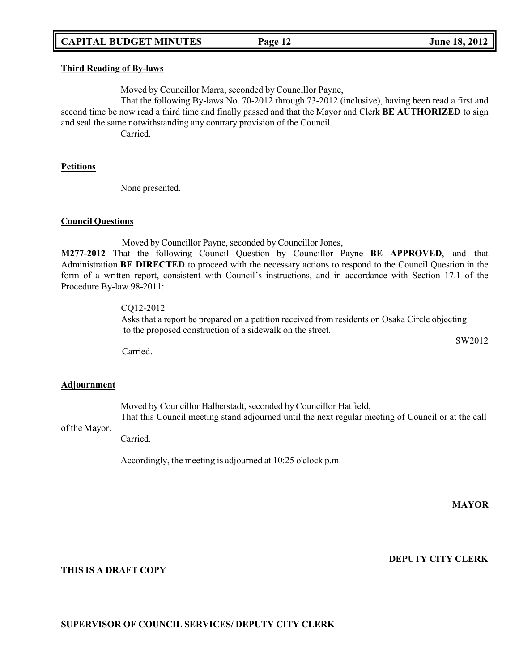# **CAPITAL BUDGET MINUTES Page 12 June 18, 2012**

#### **Third Reading of By-laws**

Moved by Councillor Marra, seconded by Councillor Payne,

That the following By-laws No. 70-2012 through 73-2012 (inclusive), having been read a first and second time be now read a third time and finally passed and that the Mayor and Clerk **BE AUTHORIZED** to sign and seal the same notwithstanding any contrary provision of the Council.

Carried.

#### **Petitions**

None presented.

#### **Council Questions**

Moved by Councillor Payne, seconded by Councillor Jones,

**M277-2012** That the following Council Question by Councillor Payne **BE APPROVED**, and that Administration **BE DIRECTED** to proceed with the necessary actions to respond to the Council Question in the form of a written report, consistent with Council's instructions, and in accordance with Section 17.1 of the Procedure By-law 98-2011:

### CQ12-2012

Asks that a report be prepared on a petition received from residents on Osaka Circle objecting to the proposed construction of a sidewalk on the street.

SW2012

Carried.

#### **Adjournment**

Moved by Councillor Halberstadt, seconded by Councillor Hatfield, That this Council meeting stand adjourned until the next regular meeting of Council or at the call

#### of the Mayor.

Carried.

Accordingly, the meeting is adjourned at 10:25 o'clock p.m.

**MAYOR**

**DEPUTY CITY CLERK**

#### **THIS IS A DRAFT COPY**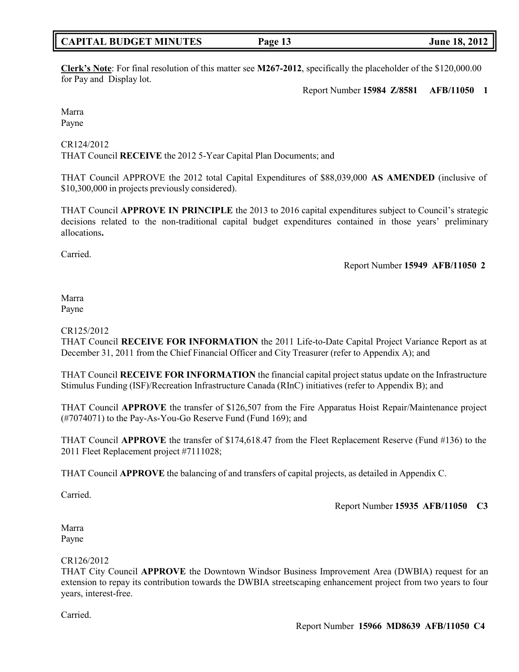### **CAPITAL BUDGET MINUTES Page 13 June 18, 2012**

**Clerk's Note**: For final resolution of this matter see **M267-2012**, specifically the placeholder of the \$120,000.00 for Pay and Display lot.

Report Number **15984 Z/8581 AFB/11050 1**

Marra Payne

CR124/2012 THAT Council **RECEIVE** the 2012 5-Year Capital Plan Documents; and

THAT Council APPROVE the 2012 total Capital Expenditures of \$88,039,000 **AS AMENDED** (inclusive of \$10,300,000 in projects previously considered).

THAT Council **APPROVE IN PRINCIPLE** the 2013 to 2016 capital expenditures subject to Council's strategic decisions related to the non-traditional capital budget expenditures contained in those years' preliminary allocations**.**

Carried.

Report Number **15949 AFB/11050 2**

#### Marra Payne

### CR125/2012

THAT Council **RECEIVE FOR INFORMATION** the 2011 Life-to-Date Capital Project Variance Report as at December 31, 2011 from the Chief Financial Officer and City Treasurer (refer to Appendix A); and

THAT Council **RECEIVE FOR INFORMATION** the financial capital project status update on the Infrastructure Stimulus Funding (ISF)/Recreation Infrastructure Canada (RInC) initiatives (refer to Appendix B); and

THAT Council **APPROVE** the transfer of \$126,507 from the Fire Apparatus Hoist Repair/Maintenance project (#7074071) to the Pay-As-You-Go Reserve Fund (Fund 169); and

THAT Council **APPROVE** the transfer of \$174,618.47 from the Fleet Replacement Reserve (Fund #136) to the 2011 Fleet Replacement project #7111028;

THAT Council **APPROVE** the balancing of and transfers of capital projects, as detailed in Appendix C.

Carried.

Report Number **15935 AFB/11050 C3**

Marra Payne

# CR126/2012

THAT City Council **APPROVE** the Downtown Windsor Business Improvement Area (DWBIA) request for an extension to repay its contribution towards the DWBIA streetscaping enhancement project from two years to four years, interest-free.

Carried.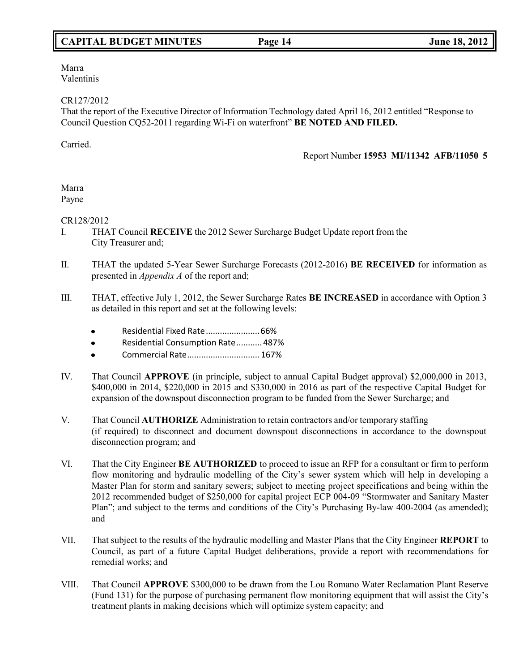Marra Valentinis

CR127/2012

That the report of the Executive Director of Information Technology dated April 16, 2012 entitled "Response to Council Question CQ52-2011 regarding Wi-Fi on waterfront" **BE NOTED AND FILED.**

Carried.

Report Number **15953 MI/11342 AFB/11050 5**

#### Marra Payne

# CR128/2012

- I. THAT Council **RECEIVE** the 2012 Sewer Surcharge Budget Update report from the City Treasurer and;
- II. THAT the updated 5-Year Sewer Surcharge Forecasts (2012-2016) **BE RECEIVED** for information as presented in *Appendix A* of the report and;
- III. THAT, effective July 1, 2012, the Sewer Surcharge Rates **BE INCREASED** in accordance with Option 3 as detailed in this report and set at the following levels:
	- Residential Fixed Rate.......................66%
	- Residential Consumption Rate........... 487%
	- Commercial Rate............................... 167%
- IV. That Council **APPROVE** (in principle, subject to annual Capital Budget approval) \$2,000,000 in 2013, \$400,000 in 2014, \$220,000 in 2015 and \$330,000 in 2016 as part of the respective Capital Budget for expansion of the downspout disconnection program to be funded from the Sewer Surcharge; and
- V. That Council **AUTHORIZE** Administration to retain contractors and/or temporary staffing (if required) to disconnect and document downspout disconnections in accordance to the downspout disconnection program; and
- VI. That the City Engineer **BE AUTHORIZED** to proceed to issue an RFP for a consultant or firm to perform flow monitoring and hydraulic modelling of the City's sewer system which will help in developing a Master Plan for storm and sanitary sewers; subject to meeting project specifications and being within the 2012 recommended budget of \$250,000 for capital project ECP 004-09 "Stormwater and Sanitary Master Plan"; and subject to the terms and conditions of the City's Purchasing By-law 400-2004 (as amended); and
- VII. That subject to the results of the hydraulic modelling and Master Plans that the City Engineer **REPORT** to Council, as part of a future Capital Budget deliberations, provide a report with recommendations for remedial works; and
- VIII. That Council **APPROVE** \$300,000 to be drawn from the Lou Romano Water Reclamation Plant Reserve (Fund 131) for the purpose of purchasing permanent flow monitoring equipment that will assist the City's treatment plants in making decisions which will optimize system capacity; and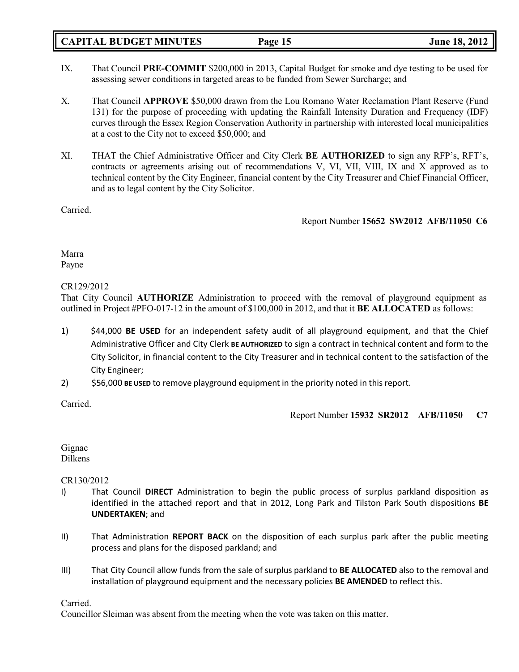# **CAPITAL BUDGET MINUTES Page 15 June 18, 2012**

- IX. That Council **PRE-COMMIT** \$200,000 in 2013, Capital Budget for smoke and dye testing to be used for assessing sewer conditions in targeted areas to be funded from Sewer Surcharge; and
- X. That Council **APPROVE** \$50,000 drawn from the Lou Romano Water Reclamation Plant Reserve (Fund 131) for the purpose of proceeding with updating the Rainfall Intensity Duration and Frequency (IDF) curves through the Essex Region Conservation Authority in partnership with interested local municipalities at a cost to the City not to exceed \$50,000; and
- XI. THAT the Chief Administrative Officer and City Clerk **BE AUTHORIZED** to sign any RFP's, RFT's, contracts or agreements arising out of recommendations V, VI, VII, VIII, IX and X approved as to technical content by the City Engineer, financial content by the City Treasurer and Chief Financial Officer, and as to legal content by the City Solicitor.

Carried.

Report Number **15652 SW2012 AFB/11050 C6**

Marra Payne

CR129/2012

That City Council **AUTHORIZE** Administration to proceed with the removal of playground equipment as outlined in Project #PFO-017-12 in the amount of \$100,000 in 2012, and that it **BE ALLOCATED** as follows:

- 1) \$44,000 **BE USED** for an independent safety audit of all playground equipment, and that the Chief Administrative Officer and City Clerk **BE AUTHORIZED** to sign a contract in technical content and form to the City Solicitor, in financial content to the City Treasurer and in technical content to the satisfaction of the City Engineer;
- 2) \$56,000 **BE USED** to remove playground equipment in the priority noted in this report.

Carried.

Report Number **15932 SR2012 AFB/11050 C7**

Gignac Dilkens

CR130/2012

- I) That Council **DIRECT** Administration to begin the public process of surplus parkland disposition as identified in the attached report and that in 2012, Long Park and Tilston Park South dispositions **BE UNDERTAKEN**; and
- II) That Administration **REPORT BACK** on the disposition of each surplus park after the public meeting process and plans for the disposed parkland; and
- III) That City Council allow funds from the sale of surplus parkland to **BE ALLOCATED** also to the removal and installation of playground equipment and the necessary policies **BE AMENDED** to reflect this.

Carried.

Councillor Sleiman was absent from the meeting when the vote was taken on this matter.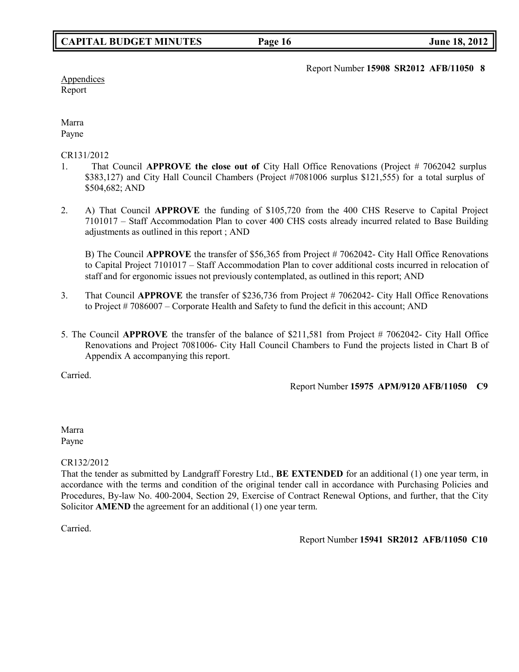Report Number **15908 SR2012 AFB/11050 8**

**Appendices** Report

Marra Payne

CR131/2012

- 1. That Council **APPROVE the close out of** City Hall Office Renovations (Project # 7062042 surplus \$383,127) and City Hall Council Chambers (Project #7081006 surplus \$121,555) for a total surplus of \$504,682; AND
- 2. A) That Council **APPROVE** the funding of \$105,720 from the 400 CHS Reserve to Capital Project 7101017 – Staff Accommodation Plan to cover 400 CHS costs already incurred related to Base Building adjustments as outlined in this report ; AND

B) The Council **APPROVE** the transfer of \$56,365 from Project # 7062042- City Hall Office Renovations to Capital Project 7101017 – Staff Accommodation Plan to cover additional costs incurred in relocation of staff and for ergonomic issues not previously contemplated, as outlined in this report; AND

- 3. That Council **APPROVE** the transfer of \$236,736 from Project # 7062042- City Hall Office Renovations to Project # 7086007 – Corporate Health and Safety to fund the deficit in this account; AND
- 5. The Council **APPROVE** the transfer of the balance of \$211,581 from Project # 7062042- City Hall Office Renovations and Project 7081006- City Hall Council Chambers to Fund the projects listed in Chart B of Appendix A accompanying this report.

Carried.

Report Number **15975 APM/9120 AFB/11050 C9**

Marra Payne

CR132/2012

That the tender as submitted by Landgraff Forestry Ltd., **BE EXTENDED** for an additional (1) one year term, in accordance with the terms and condition of the original tender call in accordance with Purchasing Policies and Procedures, By-law No. 400-2004, Section 29, Exercise of Contract Renewal Options, and further, that the City Solicitor **AMEND** the agreement for an additional (1) one year term.

Carried.

Report Number **15941 SR2012 AFB/11050 C10**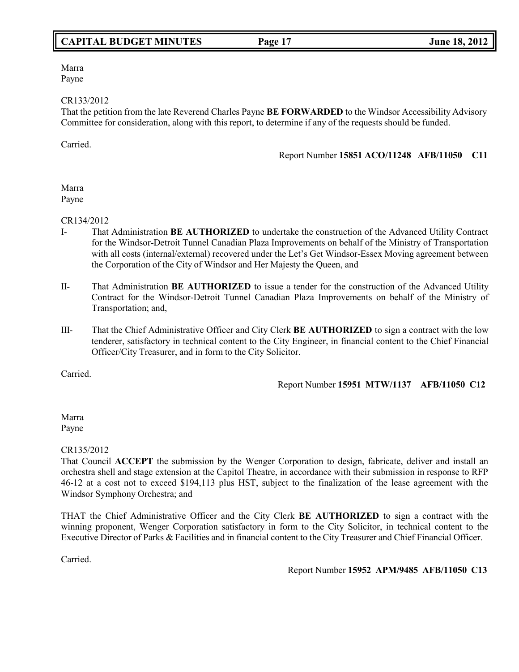# **CAPITAL BUDGET MINUTES Page 17 June 18, 2012**

Marra Payne

#### CR133/2012

That the petition from the late Reverend Charles Payne **BE FORWARDED** to the Windsor Accessibility Advisory Committee for consideration, along with this report, to determine if any of the requests should be funded.

Carried.

Report Number **15851 ACO/11248 AFB/11050 C11**

#### Marra Payne

CR134/2012

- I- That Administration **BE AUTHORIZED** to undertake the construction of the Advanced Utility Contract for the Windsor-Detroit Tunnel Canadian Plaza Improvements on behalf of the Ministry of Transportation with all costs (internal/external) recovered under the Let's Get Windsor-Essex Moving agreement between the Corporation of the City of Windsor and Her Majesty the Queen, and
- II- That Administration **BE AUTHORIZED** to issue a tender for the construction of the Advanced Utility Contract for the Windsor-Detroit Tunnel Canadian Plaza Improvements on behalf of the Ministry of Transportation; and,
- III- That the Chief Administrative Officer and City Clerk **BE AUTHORIZED** to sign a contract with the low tenderer, satisfactory in technical content to the City Engineer, in financial content to the Chief Financial Officer/City Treasurer, and in form to the City Solicitor.

Carried.

Report Number **15951 MTW/1137 AFB/11050 C12**

Marra Payne

### CR135/2012

That Council **ACCEPT** the submission by the Wenger Corporation to design, fabricate, deliver and install an orchestra shell and stage extension at the Capitol Theatre, in accordance with their submission in response to RFP 46-12 at a cost not to exceed \$194,113 plus HST, subject to the finalization of the lease agreement with the Windsor Symphony Orchestra; and

THAT the Chief Administrative Officer and the City Clerk **BE AUTHORIZED** to sign a contract with the winning proponent, Wenger Corporation satisfactory in form to the City Solicitor, in technical content to the Executive Director of Parks & Facilities and in financial content to the City Treasurer and Chief Financial Officer.

Carried.

Report Number **15952 APM/9485 AFB/11050 C13**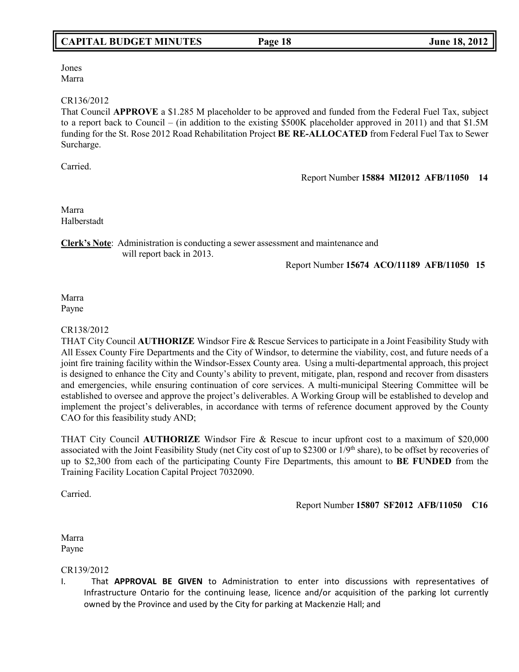# **CAPITAL BUDGET MINUTES Page 18 June 18, 2012**

Jones Marra

#### CR136/2012

That Council **APPROVE** a \$1.285 M placeholder to be approved and funded from the Federal Fuel Tax, subject to a report back to Council – (in addition to the existing \$500K placeholder approved in 2011) and that \$1.5M funding for the St. Rose 2012 Road Rehabilitation Project **BE RE-ALLOCATED** from Federal Fuel Tax to Sewer Surcharge.

Carried.

Report Number **15884 MI2012 AFB/11050 14**

Marra Halberstadt

**Clerk's Note**: Administration is conducting a sewer assessment and maintenance and will report back in 2013.

Report Number **15674 ACO/11189 AFB/11050 15**

Marra Payne

#### CR138/2012

THAT City Council **AUTHORIZE** Windsor Fire & Rescue Services to participate in a Joint Feasibility Study with All Essex County Fire Departments and the City of Windsor, to determine the viability, cost, and future needs of a joint fire training facility within the Windsor-Essex County area. Using a multi-departmental approach, this project is designed to enhance the City and County's ability to prevent, mitigate, plan, respond and recover from disasters and emergencies, while ensuring continuation of core services. A multi-municipal Steering Committee will be established to oversee and approve the project's deliverables. A Working Group will be established to develop and implement the project's deliverables, in accordance with terms of reference document approved by the County CAO for this feasibility study AND;

THAT City Council **AUTHORIZE** Windsor Fire & Rescue to incur upfront cost to a maximum of \$20,000 associated with the Joint Feasibility Study (net City cost of up to \$2300 or 1/9<sup>th</sup> share), to be offset by recoveries of up to \$2,300 from each of the participating County Fire Departments, this amount to **BE FUNDED** from the Training Facility Location Capital Project 7032090.

Carried.

Report Number **15807 SF2012 AFB/11050 C16**

Marra Payne

#### CR139/2012

I. That **APPROVAL BE GIVEN** to Administration to enter into discussions with representatives of Infrastructure Ontario for the continuing lease, licence and/or acquisition of the parking lot currently owned by the Province and used by the City for parking at Mackenzie Hall; and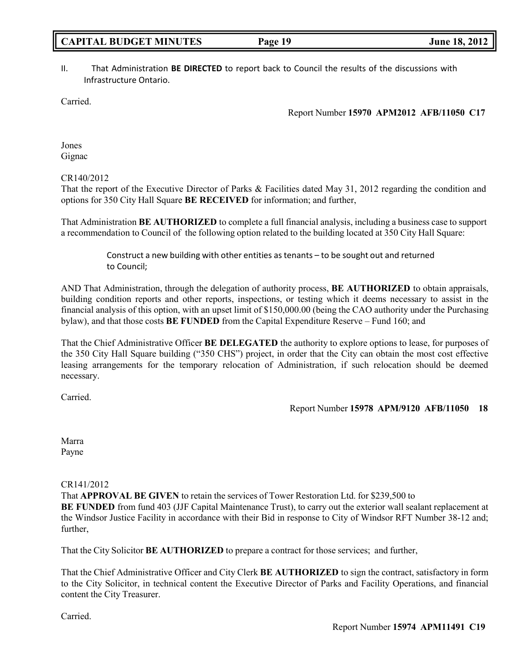# II. That Administration **BE DIRECTED** to report back to Council the results of the discussions with Infrastructure Ontario.

Carried.

Report Number **15970 APM2012 AFB/11050 C17**

Jones Gignac

CR140/2012

That the report of the Executive Director of Parks & Facilities dated May 31, 2012 regarding the condition and options for 350 City Hall Square **BE RECEIVED** for information; and further,

That Administration **BE AUTHORIZED** to complete a full financial analysis, including a business case to support a recommendation to Council of the following option related to the building located at 350 City Hall Square:

> Construct a new building with other entities astenants – to be sought out and returned to Council;

AND That Administration, through the delegation of authority process, **BE AUTHORIZED** to obtain appraisals, building condition reports and other reports, inspections, or testing which it deems necessary to assist in the financial analysis of this option, with an upset limit of \$150,000.00 (being the CAO authority under the Purchasing bylaw), and that those costs **BE FUNDED** from the Capital Expenditure Reserve – Fund 160; and

That the Chief Administrative Officer **BE DELEGATED** the authority to explore options to lease, for purposes of the 350 City Hall Square building ("350 CHS") project, in order that the City can obtain the most cost effective leasing arrangements for the temporary relocation of Administration, if such relocation should be deemed necessary.

Carried.

Report Number **15978 APM/9120 AFB/11050 18**

Marra Payne

CR141/2012

That **APPROVAL BE GIVEN** to retain the services of Tower Restoration Ltd. for \$239,500 to **BE FUNDED** from fund 403 (JJF Capital Maintenance Trust), to carry out the exterior wall sealant replacement at the Windsor Justice Facility in accordance with their Bid in response to City of Windsor RFT Number 38-12 and; further,

That the City Solicitor **BE AUTHORIZED** to prepare a contract for those services; and further,

That the Chief Administrative Officer and City Clerk **BE AUTHORIZED** to sign the contract, satisfactory in form to the City Solicitor, in technical content the Executive Director of Parks and Facility Operations, and financial content the City Treasurer.

Carried.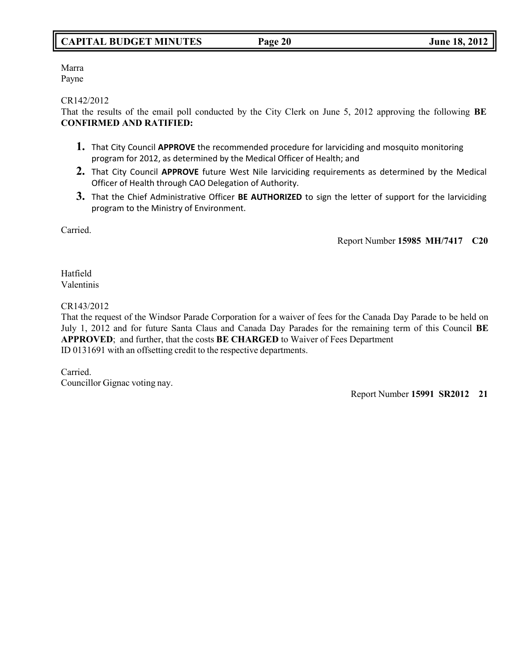# **CAPITAL BUDGET MINUTES Page 20 June 18, 2012**

Marra Payne

CR142/2012

That the results of the email poll conducted by the City Clerk on June 5, 2012 approving the following **BE CONFIRMED AND RATIFIED:**

- **1.** That City Council **APPROVE** the recommended procedure for larviciding and mosquito monitoring program for 2012, as determined by the Medical Officer of Health; and
- **2.** That City Council **APPROVE** future West Nile larviciding requirements as determined by the Medical Officer of Health through CAO Delegation of Authority.
- **3.** That the Chief Administrative Officer **BE AUTHORIZED** to sign the letter of support for the larviciding program to the Ministry of Environment.

Carried.

Report Number **15985 MH/7417 C20**

Hatfield Valentinis

CR143/2012

That the request of the Windsor Parade Corporation for a waiver of fees for the Canada Day Parade to be held on July 1, 2012 and for future Santa Claus and Canada Day Parades for the remaining term of this Council **BE APPROVED**; and further, that the costs **BE CHARGED** to Waiver of Fees Department ID 0131691 with an offsetting credit to the respective departments.

Carried. Councillor Gignac voting nay.

Report Number **15991 SR2012 21**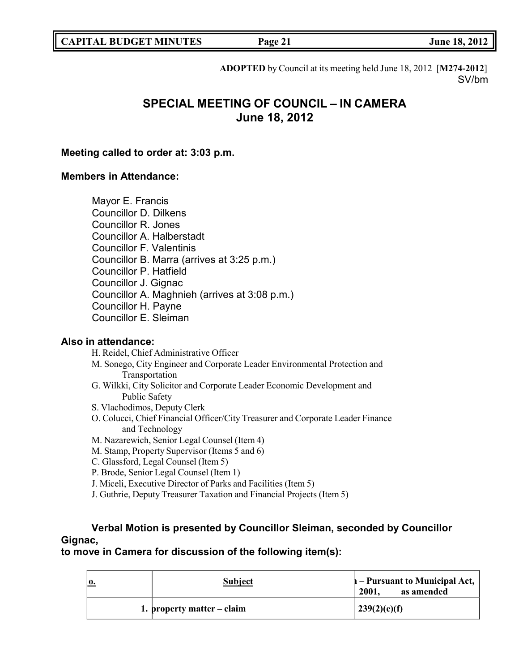**ADOPTED** by Council at its meeting held June 18, 2012 [**M274-2012**] SV/bm

# **SPECIAL MEETING OF COUNCIL – IN CAMERA June 18, 2012**

# **Meeting called to order at: 3:03 p.m.**

# **Members in Attendance:**

Mayor E. Francis Councillor D. Dilkens Councillor R. Jones Councillor A. Halberstadt Councillor F. Valentinis Councillor B. Marra (arrives at 3:25 p.m.) Councillor P. Hatfield Councillor J. Gignac Councillor A. Maghnieh (arrives at 3:08 p.m.) Councillor H. Payne Councillor E. Sleiman

# **Also in attendance:**

H. Reidel, Chief Administrative Officer

- M. Sonego, City Engineer and Corporate Leader Environmental Protection and Transportation
- G. Wilkki, City Solicitor and Corporate Leader Economic Development and Public Safety
- S. Vlachodimos, Deputy Clerk
- O. Colucci, Chief Financial Officer/City Treasurer and Corporate Leader Finance and Technology
- M. Nazarewich, Senior Legal Counsel (Item 4)
- M. Stamp, Property Supervisor (Items 5 and 6)
- C. Glassford, Legal Counsel (Item 5)
- P. Brode, Senior Legal Counsel (Item 1)
- J. Miceli, Executive Director of Parks and Facilities (Item 5)
- J. Guthrie, Deputy Treasurer Taxation and Financial Projects (Item 5)

# **Verbal Motion is presented by Councillor Sleiman, seconded by Councillor Gignac,**

**to move in Camera for discussion of the following item(s):**

| 10. | <b>Subject</b>               | $\mathbf{h}$ – Pursuant to Municipal Act, $\mathbf{h}$<br>as amended<br>2001. |
|-----|------------------------------|-------------------------------------------------------------------------------|
|     | 1. property matter $-$ claim | 239(2)(e)(f)                                                                  |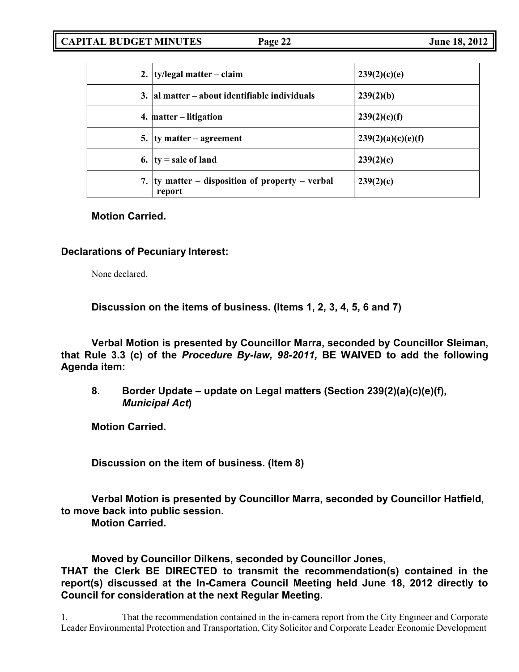|    | 2. $\{ty/legal matter - claim\}$                           | 239(2)(c)(e)       |
|----|------------------------------------------------------------|--------------------|
|    | 3. al matter – about identifiable individuals              | 239(2)(b)          |
|    | 4. matter – litigation                                     | 239(2)(e)(f)       |
|    | 5. $\frac{1}{2}$ ty matter – agreement                     | 239(2)(a)(c)(e)(f) |
|    | 6. $ ty $ sale of land                                     | 239(2)(c)          |
| 7. | $ $ ty matter – disposition of property – verbal<br>report | 239(2)(c)          |

# **Motion Carried.**

# **Declarations of Pecuniary Interest:**

None declared.

**Discussion on the items of business. (Items 1, 2, 3, 4, 5, 6 and 7)**

**Verbal Motion is presented by Councillor Marra, seconded by Councillor Sleiman, that Rule 3.3 (c) of the** *Procedure By-law, 98-2011,* **BE WAIVED to add the following Agenda item:**

**8. Border Update – update on Legal matters (Section 239(2)(a)(c)(e)(f),** *Municipal Act***)**

**Motion Carried.**

**Discussion on the item of business. (Item 8)**

**Verbal Motion is presented by Councillor Marra, seconded by Councillor Hatfield, to move back into public session.**

**Motion Carried.**

**Moved by Councillor Dilkens, seconded by Councillor Jones, THAT the Clerk BE DIRECTED to transmit the recommendation(s) contained in the report(s) discussed at the In-Camera Council Meeting held June 18, 2012 directly to Council for consideration at the next Regular Meeting.**

1. That the recommendation contained in the in-camera report from the City Engineer and Corporate Leader Environmental Protection and Transportation, City Solicitor and Corporate Leader Economic Development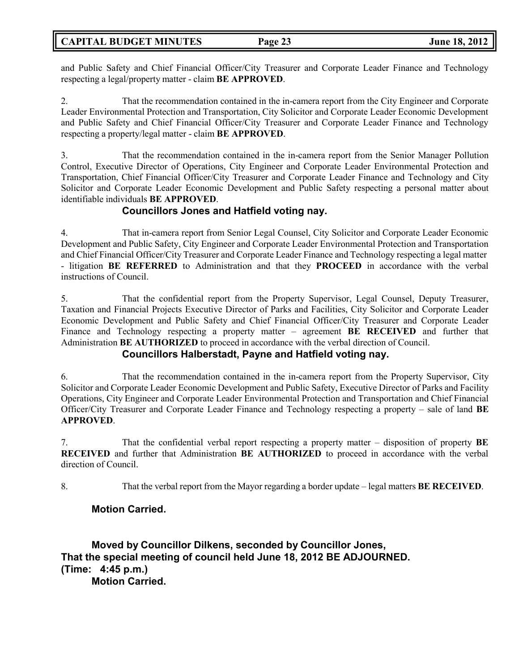# **CAPITAL BUDGET MINUTES Page 23 June 18, 2012**

and Public Safety and Chief Financial Officer/City Treasurer and Corporate Leader Finance and Technology respecting a legal/property matter - claim **BE APPROVED**.

2. That the recommendation contained in the in-camera report from the City Engineer and Corporate Leader Environmental Protection and Transportation, City Solicitor and Corporate Leader Economic Development and Public Safety and Chief Financial Officer/City Treasurer and Corporate Leader Finance and Technology respecting a property/legal matter - claim **BE APPROVED**.

3. That the recommendation contained in the in-camera report from the Senior Manager Pollution Control, Executive Director of Operations, City Engineer and Corporate Leader Environmental Protection and Transportation, Chief Financial Officer/City Treasurer and Corporate Leader Finance and Technology and City Solicitor and Corporate Leader Economic Development and Public Safety respecting a personal matter about identifiable individuals **BE APPROVED**.

# **Councillors Jones and Hatfield voting nay.**

4. That in-camera report from Senior Legal Counsel, City Solicitor and Corporate Leader Economic Development and Public Safety, City Engineer and Corporate Leader Environmental Protection and Transportation and Chief Financial Officer/City Treasurer and Corporate Leader Finance and Technology respecting a legal matter - litigation **BE REFERRED** to Administration and that they **PROCEED** in accordance with the verbal instructions of Council.

5. That the confidential report from the Property Supervisor, Legal Counsel, Deputy Treasurer, Taxation and Financial Projects Executive Director of Parks and Facilities, City Solicitor and Corporate Leader Economic Development and Public Safety and Chief Financial Officer/City Treasurer and Corporate Leader Finance and Technology respecting a property matter – agreement **BE RECEIVED** and further that Administration **BE AUTHORIZED** to proceed in accordance with the verbal direction of Council.

# **Councillors Halberstadt, Payne and Hatfield voting nay.**

6. That the recommendation contained in the in-camera report from the Property Supervisor, City Solicitor and Corporate Leader Economic Development and Public Safety, Executive Director of Parks and Facility Operations, City Engineer and Corporate Leader Environmental Protection and Transportation and Chief Financial Officer/City Treasurer and Corporate Leader Finance and Technology respecting a property – sale of land **BE APPROVED**.

7. That the confidential verbal report respecting a property matter – disposition of property **BE RECEIVED** and further that Administration **BE AUTHORIZED** to proceed in accordance with the verbal direction of Council.

8. That the verbal report from the Mayor regarding a border update – legal matters **BE RECEIVED**.

# **Motion Carried.**

**Moved by Councillor Dilkens, seconded by Councillor Jones, That the special meeting of council held June 18, 2012 BE ADJOURNED. (Time: 4:45 p.m.) Motion Carried.**